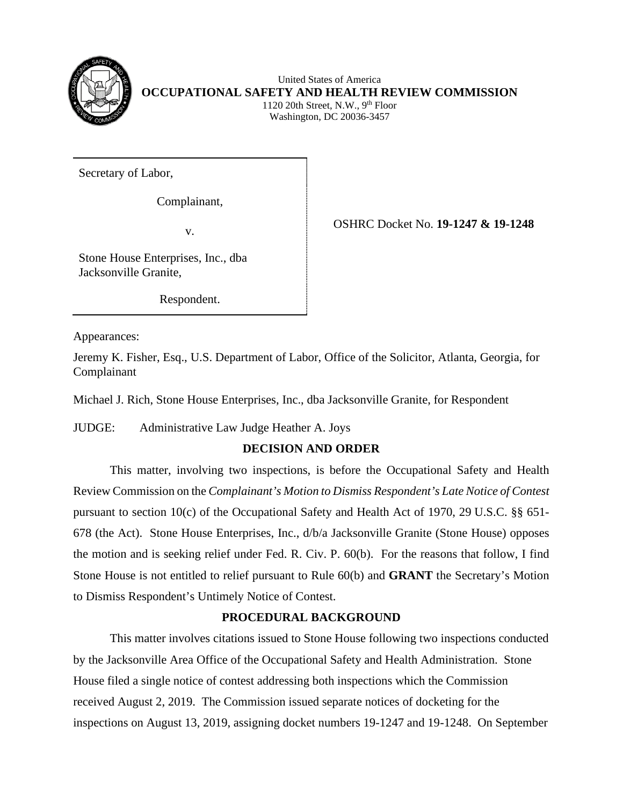

United States of America **OCCUPATIONAL SAFETY AND HEALTH REVIEW COMMISSION** 1120 20th Street, N.W., 9th Floor Washington, DC 20036-3457

Secretary of Labor,

Complainant,

v. OSHRC Docket No. **19-1247 & 19-1248**

Stone House Enterprises, Inc., dba Jacksonville Granite,

Respondent.

Appearances:

Jeremy K. Fisher, Esq., U.S. Department of Labor, Office of the Solicitor, Atlanta, Georgia, for Complainant

Michael J. Rich, Stone House Enterprises, Inc., dba Jacksonville Granite, for Respondent

JUDGE: Administrative Law Judge Heather A. Joys

# **DECISION AND ORDER**

This matter, involving two inspections, is before the Occupational Safety and Health Review Commission on the *Complainant's Motion to Dismiss Respondent's Late Notice of Contest* pursuant to section 10(c) of the Occupational Safety and Health Act of 1970, 29 U.S.C. §§ 651- 678 (the Act). Stone House Enterprises, Inc., d/b/a Jacksonville Granite (Stone House) opposes the motion and is seeking relief under Fed. R. Civ. P. 60(b). For the reasons that follow, I find Stone House is not entitled to relief pursuant to Rule 60(b) and **GRANT** the Secretary's Motion to Dismiss Respondent's Untimely Notice of Contest.

# **PROCEDURAL BACKGROUND**

This matter involves citations issued to Stone House following two inspections conducted by the Jacksonville Area Office of the Occupational Safety and Health Administration. Stone House filed a single notice of contest addressing both inspections which the Commission received August 2, 2019. The Commission issued separate notices of docketing for the inspections on August 13, 2019, assigning docket numbers 19-1247 and 19-1248. On September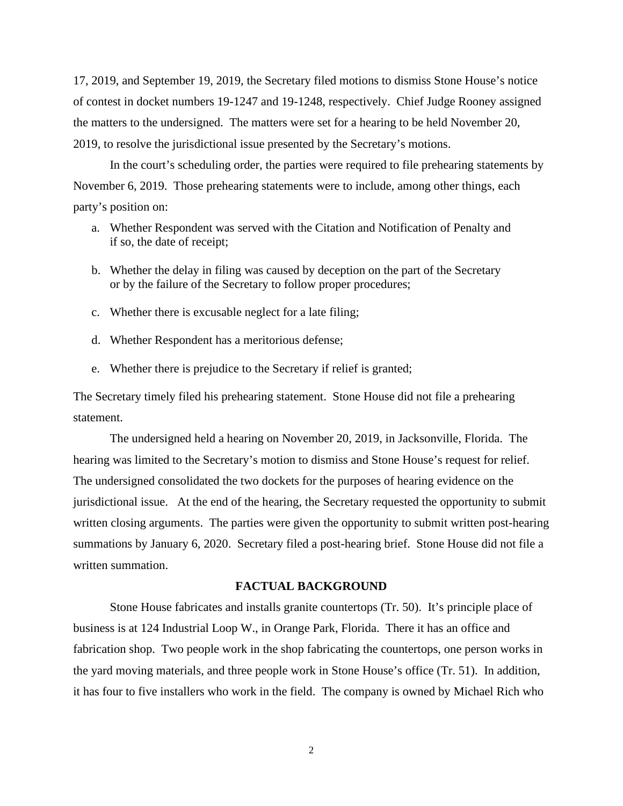17, 2019, and September 19, 2019, the Secretary filed motions to dismiss Stone House's notice of contest in docket numbers 19-1247 and 19-1248, respectively. Chief Judge Rooney assigned the matters to the undersigned. The matters were set for a hearing to be held November 20, 2019, to resolve the jurisdictional issue presented by the Secretary's motions.

In the court's scheduling order, the parties were required to file prehearing statements by November 6, 2019. Those prehearing statements were to include, among other things, each party's position on:

- a. Whether Respondent was served with the Citation and Notification of Penalty and if so, the date of receipt;
- b. Whether the delay in filing was caused by deception on the part of the Secretary or by the failure of the Secretary to follow proper procedures;
- c. Whether there is excusable neglect for a late filing;
- d. Whether Respondent has a meritorious defense;
- e. Whether there is prejudice to the Secretary if relief is granted;

The Secretary timely filed his prehearing statement. Stone House did not file a prehearing statement.

The undersigned held a hearing on November 20, 2019, in Jacksonville, Florida. The hearing was limited to the Secretary's motion to dismiss and Stone House's request for relief. The undersigned consolidated the two dockets for the purposes of hearing evidence on the jurisdictional issue. At the end of the hearing, the Secretary requested the opportunity to submit written closing arguments. The parties were given the opportunity to submit written post-hearing summations by January 6, 2020. Secretary filed a post-hearing brief. Stone House did not file a written summation.

#### **FACTUAL BACKGROUND**

Stone House fabricates and installs granite countertops (Tr. 50). It's principle place of business is at 124 Industrial Loop W., in Orange Park, Florida. There it has an office and fabrication shop. Two people work in the shop fabricating the countertops, one person works in the yard moving materials, and three people work in Stone House's office (Tr. 51). In addition, it has four to five installers who work in the field. The company is owned by Michael Rich who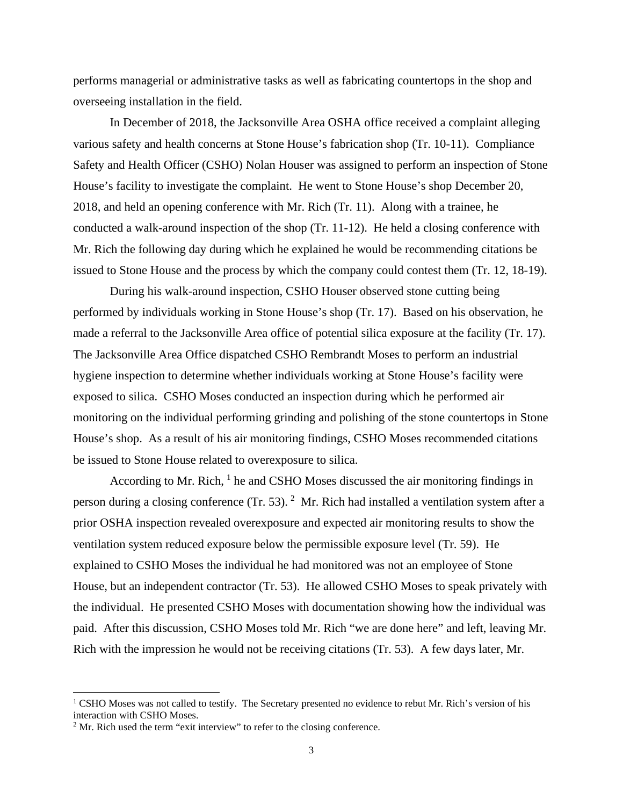performs managerial or administrative tasks as well as fabricating countertops in the shop and overseeing installation in the field.

In December of 2018, the Jacksonville Area OSHA office received a complaint alleging various safety and health concerns at Stone House's fabrication shop (Tr. 10-11). Compliance Safety and Health Officer (CSHO) Nolan Houser was assigned to perform an inspection of Stone House's facility to investigate the complaint. He went to Stone House's shop December 20, 2018, and held an opening conference with Mr. Rich (Tr. 11). Along with a trainee, he conducted a walk-around inspection of the shop (Tr. 11-12). He held a closing conference with Mr. Rich the following day during which he explained he would be recommending citations be issued to Stone House and the process by which the company could contest them (Tr. 12, 18-19).

During his walk-around inspection, CSHO Houser observed stone cutting being performed by individuals working in Stone House's shop (Tr. 17). Based on his observation, he made a referral to the Jacksonville Area office of potential silica exposure at the facility (Tr. 17). The Jacksonville Area Office dispatched CSHO Rembrandt Moses to perform an industrial hygiene inspection to determine whether individuals working at Stone House's facility were exposed to silica. CSHO Moses conducted an inspection during which he performed air monitoring on the individual performing grinding and polishing of the stone countertops in Stone House's shop. As a result of his air monitoring findings, CSHO Moses recommended citations be issued to Stone House related to overexposure to silica.

According to Mr. Rich,  $<sup>1</sup>$  $<sup>1</sup>$  $<sup>1</sup>$  he and CSHO Moses discussed the air monitoring findings in</sup> person during a closing conference (Tr. 53).  $2$  Mr. Rich had installed a ventilation system after a prior OSHA inspection revealed overexposure and expected air monitoring results to show the ventilation system reduced exposure below the permissible exposure level (Tr. 59). He explained to CSHO Moses the individual he had monitored was not an employee of Stone House, but an independent contractor (Tr. 53). He allowed CSHO Moses to speak privately with the individual. He presented CSHO Moses with documentation showing how the individual was paid. After this discussion, CSHO Moses told Mr. Rich "we are done here" and left, leaving Mr. Rich with the impression he would not be receiving citations (Tr. 53). A few days later, Mr.

<span id="page-2-0"></span><sup>&</sup>lt;sup>1</sup> CSHO Moses was not called to testify. The Secretary presented no evidence to rebut Mr. Rich's version of his interaction with CSHO Moses.

<span id="page-2-1"></span><sup>&</sup>lt;sup>2</sup> Mr. Rich used the term "exit interview" to refer to the closing conference.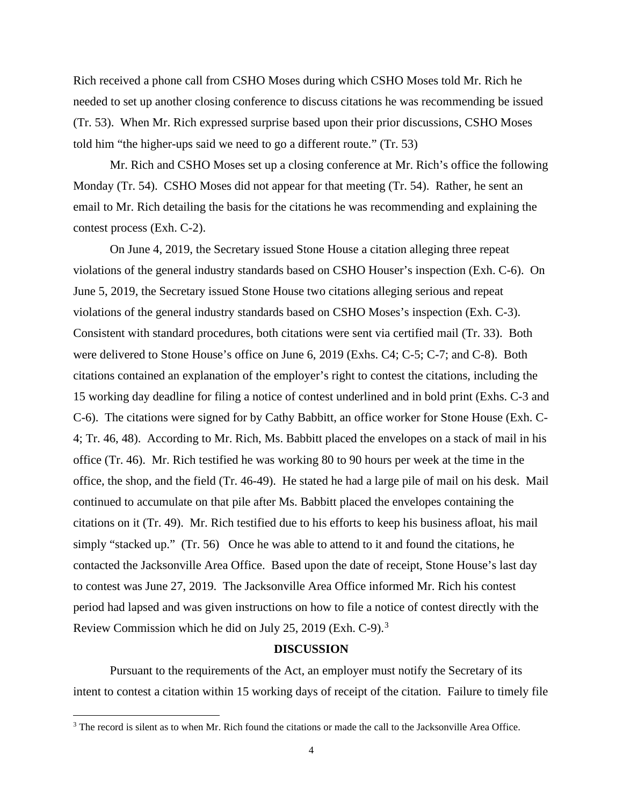Rich received a phone call from CSHO Moses during which CSHO Moses told Mr. Rich he needed to set up another closing conference to discuss citations he was recommending be issued (Tr. 53). When Mr. Rich expressed surprise based upon their prior discussions, CSHO Moses told him "the higher-ups said we need to go a different route." (Tr. 53)

Mr. Rich and CSHO Moses set up a closing conference at Mr. Rich's office the following Monday (Tr. 54). CSHO Moses did not appear for that meeting (Tr. 54). Rather, he sent an email to Mr. Rich detailing the basis for the citations he was recommending and explaining the contest process (Exh. C-2).

On June 4, 2019, the Secretary issued Stone House a citation alleging three repeat violations of the general industry standards based on CSHO Houser's inspection (Exh. C-6). On June 5, 2019, the Secretary issued Stone House two citations alleging serious and repeat violations of the general industry standards based on CSHO Moses's inspection (Exh. C-3). Consistent with standard procedures, both citations were sent via certified mail (Tr. 33). Both were delivered to Stone House's office on June 6, 2019 (Exhs. C4; C-5; C-7; and C-8). Both citations contained an explanation of the employer's right to contest the citations, including the 15 working day deadline for filing a notice of contest underlined and in bold print (Exhs. C-3 and C-6). The citations were signed for by Cathy Babbitt, an office worker for Stone House (Exh. C-4; Tr. 46, 48). According to Mr. Rich, Ms. Babbitt placed the envelopes on a stack of mail in his office (Tr. 46). Mr. Rich testified he was working 80 to 90 hours per week at the time in the office, the shop, and the field (Tr. 46-49). He stated he had a large pile of mail on his desk. Mail continued to accumulate on that pile after Ms. Babbitt placed the envelopes containing the citations on it (Tr. 49). Mr. Rich testified due to his efforts to keep his business afloat, his mail simply "stacked up." (Tr. 56) Once he was able to attend to it and found the citations, he contacted the Jacksonville Area Office. Based upon the date of receipt, Stone House's last day to contest was June 27, 2019. The Jacksonville Area Office informed Mr. Rich his contest period had lapsed and was given instructions on how to file a notice of contest directly with the Review Commission which he did on July 25, 2019 (Exh. C-9).<sup>[3](#page-3-0)</sup>

### **DISCUSSION**

Pursuant to the requirements of the Act, an employer must notify the Secretary of its intent to contest a citation within 15 working days of receipt of the citation. Failure to timely file

<span id="page-3-0"></span><sup>&</sup>lt;sup>3</sup> The record is silent as to when Mr. Rich found the citations or made the call to the Jacksonville Area Office.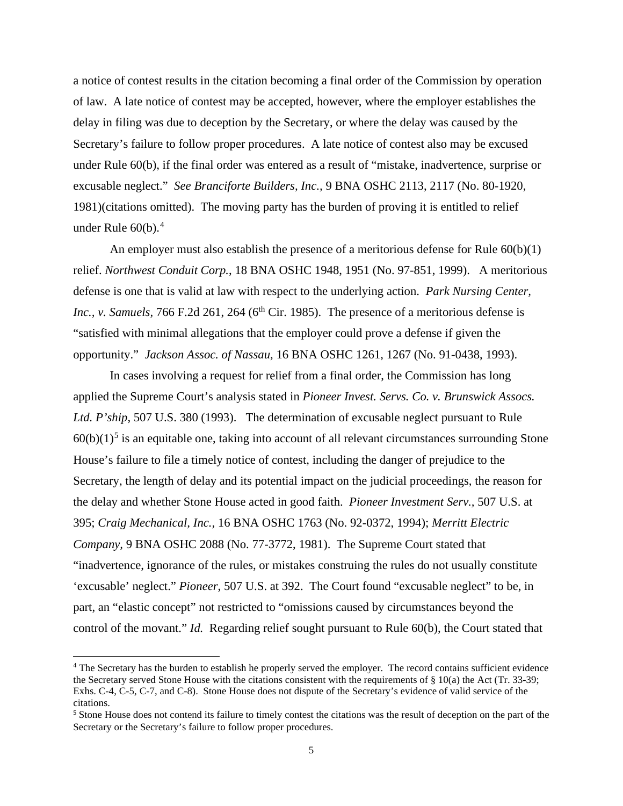a notice of contest results in the citation becoming a final order of the Commission by operation of law. A late notice of contest may be accepted, however, where the employer establishes the delay in filing was due to deception by the Secretary, or where the delay was caused by the Secretary's failure to follow proper procedures. A late notice of contest also may be excused under Rule 60(b), if the final order was entered as a result of "mistake, inadvertence, surprise or excusable neglect." *See Branciforte Builders, Inc.,* 9 BNA OSHC 2113, 2117 (No. 80-1920, 1981)(citations omitted). The moving party has the burden of proving it is entitled to relief under Rule  $60(b)$ .<sup>[4](#page-4-0)</sup>

An employer must also establish the presence of a meritorious defense for Rule  $60(b)(1)$ relief. *[Northwest Conduit Corp.](http://www.westlaw.com/Find/Default.wl?rs=dfa1.0&vr=2.0&DB=0003227&FindType=Y&SerialNum=1999284282)*, [18 BNA OSHC 1948, 1951 \(No. 97-851, 1999\).](http://www.westlaw.com/Find/Default.wl?rs=dfa1.0&vr=2.0&DB=0003227&FindType=Y&SerialNum=1999284282) A meritorious defense is one that is valid at law with respect to the underlying action. *Park Nursing Center, Inc., v. Samuels, 766 F.2d 261, 264 (6<sup>th</sup> Cir. 1985). The presence of a meritorious defense is* "satisfied with minimal allegations that the employer could prove a defense if given the opportunity." *Jackson Assoc. of Nassau*, 16 BNA OSHC 1261, 1267 (No. 91-0438, 1993).

In cases involving a request for relief from a final order, the Commission has long applied the Supreme Court's analysis stated in *Pioneer Invest. Servs. Co. v. Brunswick Assocs. Ltd. P'ship*, 507 U.S. 380 (1993). The determination of excusable neglect pursuant to Rule  $60(b)(1)^5$  $60(b)(1)^5$  is an equitable one, taking into account of all relevant circumstances surrounding Stone House's failure to file a timely notice of contest, including the danger of prejudice to the Secretary, the length of delay and its potential impact on the judicial proceedings, the reason for the delay and whether Stone House acted in good faith. *Pioneer Investment Serv.,* 507 U.S. at 395; *Craig Mechanical, Inc.,* 16 BNA OSHC 1763 (No. 92-0372, 1994); *Merritt Electric Company,* 9 BNA OSHC 2088 (No. 77-3772, 1981). The Supreme Court stated that "inadvertence, ignorance of the rules, or mistakes construing the rules do not usually constitute 'excusable' neglect." *Pioneer*, 507 U.S. at 392. The Court found "excusable neglect" to be, in part, an "elastic concept" not restricted to "omissions caused by circumstances beyond the control of the movant." *Id.* Regarding relief sought pursuant to Rule 60(b), the Court stated that

<span id="page-4-0"></span><sup>4</sup> The Secretary has the burden to establish he properly served the employer. The record contains sufficient evidence the Secretary served Stone House with the citations consistent with the requirements of § 10(a) the Act (Tr. 33-39; Exhs. C-4, C-5, C-7, and C-8). Stone House does not dispute of the Secretary's evidence of valid service of the citations.

<span id="page-4-1"></span><sup>5</sup> Stone House does not contend its failure to timely contest the citations was the result of deception on the part of the Secretary or the Secretary's failure to follow proper procedures.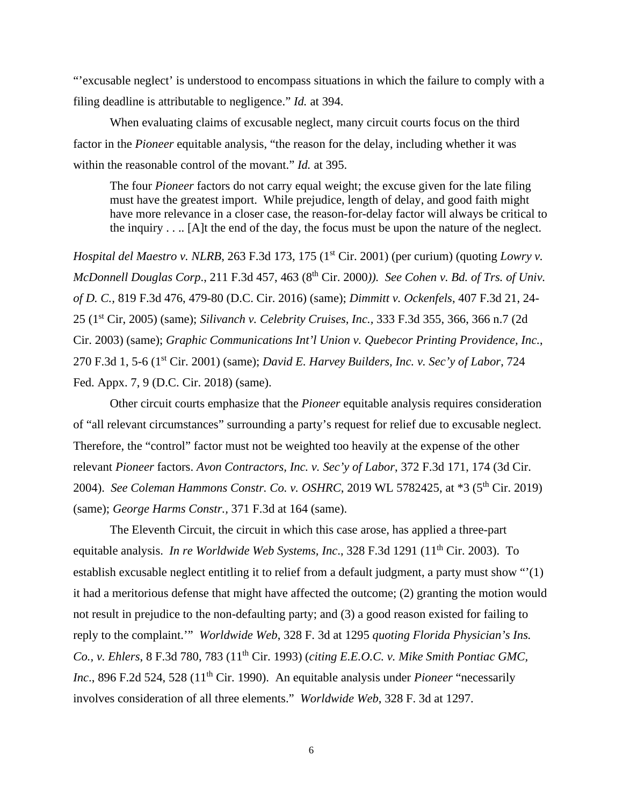"'excusable neglect' is understood to encompass situations in which the failure to comply with a filing deadline is attributable to negligence." *Id.* at 394.

When evaluating claims of excusable neglect, many circuit courts focus on the third factor in the *Pioneer* equitable analysis, "the reason for the delay, including whether it was within the reasonable control of the movant." *Id.* at 395.

The four *Pioneer* factors do not carry equal weight; the excuse given for the late filing must have the greatest import. While prejudice, length of delay, and good faith might have more relevance in a closer case, the reason-for-delay factor will always be critical to the inquiry . . .. [A]t the end of the day, the focus must be upon the nature of the neglect.

*Hospital del Maestro v. NLRB*, 263 F.3d 173, 175 (1<sup>st</sup> Cir. 2001) (per curium) (quoting *Lowry v. McDonnell Douglas Corp.*, 211 F.3d 457, 463 (8<sup>th</sup> Cir. 2000)). *See Cohen v. Bd. of Trs. of Univ. of D. C.,* 819 F.3d 476, 479-80 (D.C. Cir. 2016) (same); *Dimmitt v. Ockenfels*, 407 F.3d 21, 24- 25 (1st Cir, 2005) (same); *Silivanch v. Celebrity Cruises, Inc.,* 333 F.3d 355, 366, 366 n.7 (2d Cir. 2003) (same); *Graphic Communications Int'l Union v. Quebecor Printing Providence, Inc.*, 270 F.3d 1, 5-6 (1st Cir. 2001) (same); *David E. Harvey Builders, Inc. v. Sec'y of Labor*, 724 Fed. Appx. 7, 9 (D.C. Cir. 2018) (same).

Other circuit courts emphasize that the *Pioneer* equitable analysis requires consideration of "all relevant circumstances" surrounding a party's request for relief due to excusable neglect. Therefore, the "control" factor must not be weighted too heavily at the expense of the other relevant *Pioneer* factors. *Avon Contractors, Inc. v. Sec'y of Labor*, 372 F.3d 171, 174 (3d Cir. 2004). *See Coleman Hammons Constr. Co. v. OSHRC*, 2019 WL 5782425, at \*3 (5th Cir. 2019) (same); *George Harms Constr.,* 371 F.3d at 164 (same).

The Eleventh Circuit, the circuit in which this case arose, has applied a three-part equitable analysis. *In re Worldwide Web Systems, Inc.*, 328 F.3d 1291 (11<sup>th</sup> Cir. 2003). To establish excusable neglect entitling it to relief from a default judgment, a party must show "'(1) it had a meritorious defense that might have affected the outcome; (2) granting the motion would not result in prejudice to the non-defaulting party; and (3) a good reason existed for failing to reply to the complaint.'" *Worldwide Web*, 328 F. 3d at 1295 *quoting Florida Physician's Ins. Co., v. Ehlers*, 8 F.3d 780, 783 (11th Cir. 1993) (*citing E.E.O.C. v. Mike Smith Pontiac GMC, Inc.*, 896 F.2d 524, 528 (11<sup>th</sup> Cir. 1990). An equitable analysis under *Pioneer* "necessarily involves consideration of all three elements." *Worldwide Web*, 328 F. 3d at 1297.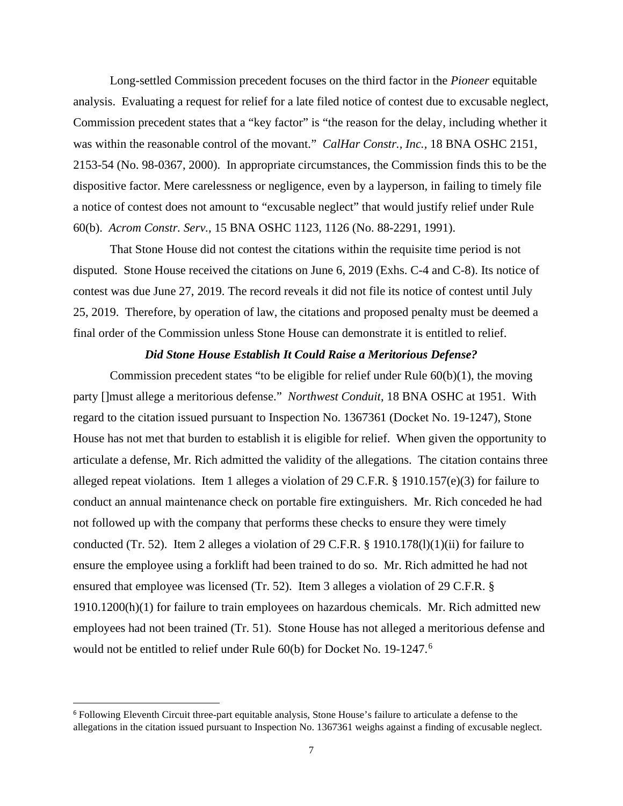Long-settled Commission precedent focuses on the third factor in the *Pioneer* equitable analysis. Evaluating a request for relief for a late filed notice of contest due to excusable neglect, Commission precedent states that a "key factor" is "the reason for the delay, including whether it was within the reasonable control of the movant." *CalHar Constr., Inc.,* 18 BNA OSHC 2151, 2153-54 (No. 98-0367, 2000). In appropriate circumstances, the Commission finds this to be the dispositive factor. Mere carelessness or negligence, even by a layperson, in failing to timely file a notice of contest does not amount to "excusable neglect" that would justify relief under [Rule](http://www.westlaw.com/Find/Default.wl?rs=dfa1.0&vr=2.0&DB=1004365&DocName=USFRCPR60&FindType=L)  [60\(b\).](http://www.westlaw.com/Find/Default.wl?rs=dfa1.0&vr=2.0&DB=1004365&DocName=USFRCPR60&FindType=L) *Acrom Constr. Serv.*, 15 BNA OSHC 1123, 1126 (No. 88-2291, 1991).

That Stone House did not contest the citations within the requisite time period is not disputed. Stone House received the citations on June 6, 2019 (Exhs. C-4 and C-8). Its notice of contest was due June 27, 2019. The record reveals it did not file its notice of contest until July 25, 2019. Therefore, by operation of law, the citations and proposed penalty must be deemed a final order of the Commission unless Stone House can demonstrate it is entitled to relief.

#### *Did Stone House Establish It Could Raise a Meritorious Defense?*

Commission precedent states "to be eligible for relief under Rule 60(b)(1), the moving party []must allege a meritorious defense." *Northwest Conduit*, 18 BNA OSHC at 1951. With regard to the citation issued pursuant to Inspection No. 1367361 (Docket No. 19-1247), Stone House has not met that burden to establish it is eligible for relief. When given the opportunity to articulate a defense, Mr. Rich admitted the validity of the allegations. The citation contains three alleged repeat violations. Item 1 alleges a violation of 29 C.F.R. § 1910.157(e)(3) for failure to conduct an annual maintenance check on portable fire extinguishers. Mr. Rich conceded he had not followed up with the company that performs these checks to ensure they were timely conducted (Tr. 52). Item 2 alleges a violation of 29 C.F.R. § 1910.178(l)(1)(ii) for failure to ensure the employee using a forklift had been trained to do so. Mr. Rich admitted he had not ensured that employee was licensed (Tr. 52). Item 3 alleges a violation of 29 C.F.R. § 1910.1200(h)(1) for failure to train employees on hazardous chemicals. Mr. Rich admitted new employees had not been trained (Tr. 51). Stone House has not alleged a meritorious defense and would not be entitled to relief under Rule 60(b) for Docket No. 19-1247.[6](#page-6-0)

<span id="page-6-0"></span><sup>6</sup> Following Eleventh Circuit three-part equitable analysis, Stone House's failure to articulate a defense to the allegations in the citation issued pursuant to Inspection No. 1367361 weighs against a finding of excusable neglect.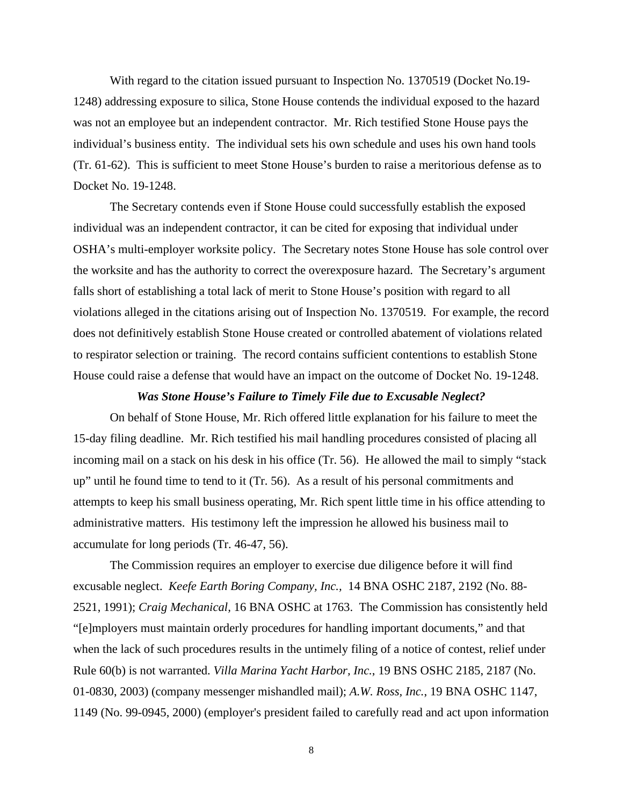With regard to the citation issued pursuant to Inspection No. 1370519 (Docket No.19- 1248) addressing exposure to silica, Stone House contends the individual exposed to the hazard was not an employee but an independent contractor. Mr. Rich testified Stone House pays the individual's business entity. The individual sets his own schedule and uses his own hand tools (Tr. 61-62). This is sufficient to meet Stone House's burden to raise a meritorious defense as to Docket No. 19-1248.

The Secretary contends even if Stone House could successfully establish the exposed individual was an independent contractor, it can be cited for exposing that individual under OSHA's multi-employer worksite policy. The Secretary notes Stone House has sole control over the worksite and has the authority to correct the overexposure hazard. The Secretary's argument falls short of establishing a total lack of merit to Stone House's position with regard to all violations alleged in the citations arising out of Inspection No. 1370519. For example, the record does not definitively establish Stone House created or controlled abatement of violations related to respirator selection or training. The record contains sufficient contentions to establish Stone House could raise a defense that would have an impact on the outcome of Docket No. 19-1248.

#### *Was Stone House's Failure to Timely File due to Excusable Neglect?*

On behalf of Stone House, Mr. Rich offered little explanation for his failure to meet the 15-day filing deadline. Mr. Rich testified his mail handling procedures consisted of placing all incoming mail on a stack on his desk in his office (Tr. 56). He allowed the mail to simply "stack up" until he found time to tend to it (Tr. 56). As a result of his personal commitments and attempts to keep his small business operating, Mr. Rich spent little time in his office attending to administrative matters. His testimony left the impression he allowed his business mail to accumulate for long periods (Tr. 46-47, 56).

The Commission requires an employer to exercise due diligence before it will find excusable neglect. *Keefe Earth Boring Company, Inc.,* [14 BNA OSHC 2187, 2192 \(No. 88-](http://www.westlaw.com/Find/Default.wl?rs=dfa1.0&vr=2.0&DB=0003227&FindType=Y&SerialNum=1991434415) [2521, 1991\);](http://www.westlaw.com/Find/Default.wl?rs=dfa1.0&vr=2.0&DB=0003227&FindType=Y&SerialNum=1991434415) *Craig Mechanical,* 16 BNA OSHC at 1763. The Commission has consistently held "[e]mployers must maintain orderly procedures for handling important documents," and that when the lack of such procedures results in the untimely filing of a notice of contest, relief under [Rule 60\(b\)](http://www.westlaw.com/Find/Default.wl?rs=dfa1.0&vr=2.0&DB=1004365&DocName=USFRCPR60&FindType=L) is not warranted. *Villa Marina Yacht Harbor, Inc.*, 19 BNS OSHC 2185, 2187 (No. 01-0830, 2003) (company messenger mishandled mail); *[A.W. Ross, Inc.](http://www.westlaw.com/Find/Default.wl?rs=dfa1.0&vr=2.0&DB=0003227&FindType=Y&SerialNum=2000905201)*[, 19 BNA OSHC 1147,](http://www.westlaw.com/Find/Default.wl?rs=dfa1.0&vr=2.0&DB=0003227&FindType=Y&SerialNum=2000905201)  [1149 \(No. 99-0945, 2000\)](http://www.westlaw.com/Find/Default.wl?rs=dfa1.0&vr=2.0&DB=0003227&FindType=Y&SerialNum=2000905201) (employer's president failed to carefully read and act upon information

8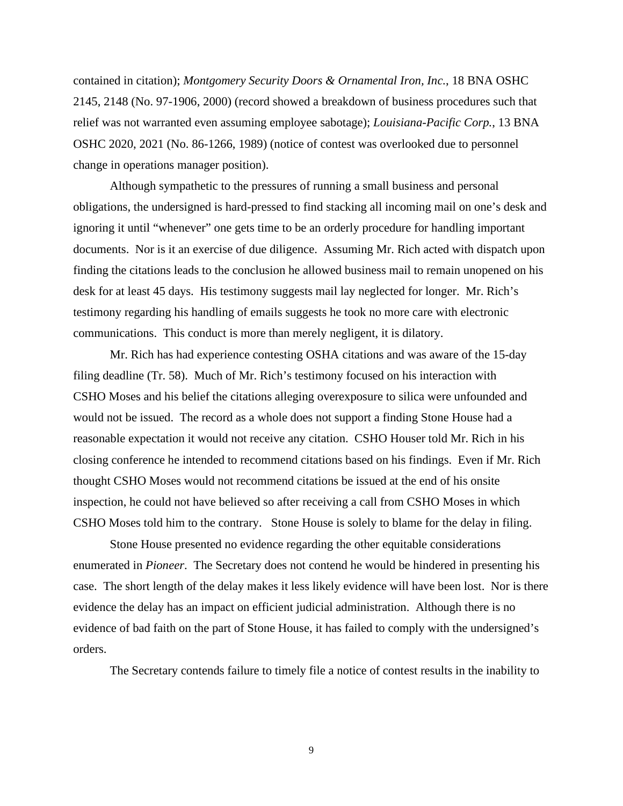contained in citation); *Montgomery Security Doors & Ornamental Iron, Inc.*, 18 BNA OSHC 2145, 2148 (No. 97-1906, 2000) (record showed a breakdown of business procedures such that relief was not warranted even assuming employee sabotage); *Louisiana-Pacific Corp.*, 13 BNA OSHC 2020, 2021 (No. 86-1266, 1989) (notice of contest was overlooked due to personnel change in operations manager position).

Although sympathetic to the pressures of running a small business and personal obligations, the undersigned is hard-pressed to find stacking all incoming mail on one's desk and ignoring it until "whenever" one gets time to be an orderly procedure for handling important documents. Nor is it an exercise of due diligence. Assuming Mr. Rich acted with dispatch upon finding the citations leads to the conclusion he allowed business mail to remain unopened on his desk for at least 45 days. His testimony suggests mail lay neglected for longer. Mr. Rich's testimony regarding his handling of emails suggests he took no more care with electronic communications. This conduct is more than merely negligent, it is dilatory.

Mr. Rich has had experience contesting OSHA citations and was aware of the 15-day filing deadline (Tr. 58). Much of Mr. Rich's testimony focused on his interaction with CSHO Moses and his belief the citations alleging overexposure to silica were unfounded and would not be issued. The record as a whole does not support a finding Stone House had a reasonable expectation it would not receive any citation. CSHO Houser told Mr. Rich in his closing conference he intended to recommend citations based on his findings. Even if Mr. Rich thought CSHO Moses would not recommend citations be issued at the end of his onsite inspection, he could not have believed so after receiving a call from CSHO Moses in which CSHO Moses told him to the contrary. Stone House is solely to blame for the delay in filing.

Stone House presented no evidence regarding the other equitable considerations enumerated in *Pioneer*. The Secretary does not contend he would be hindered in presenting his case. The short length of the delay makes it less likely evidence will have been lost. Nor is there evidence the delay has an impact on efficient judicial administration. Although there is no evidence of bad faith on the part of Stone House, it has failed to comply with the undersigned's orders.

The Secretary contends failure to timely file a notice of contest results in the inability to

9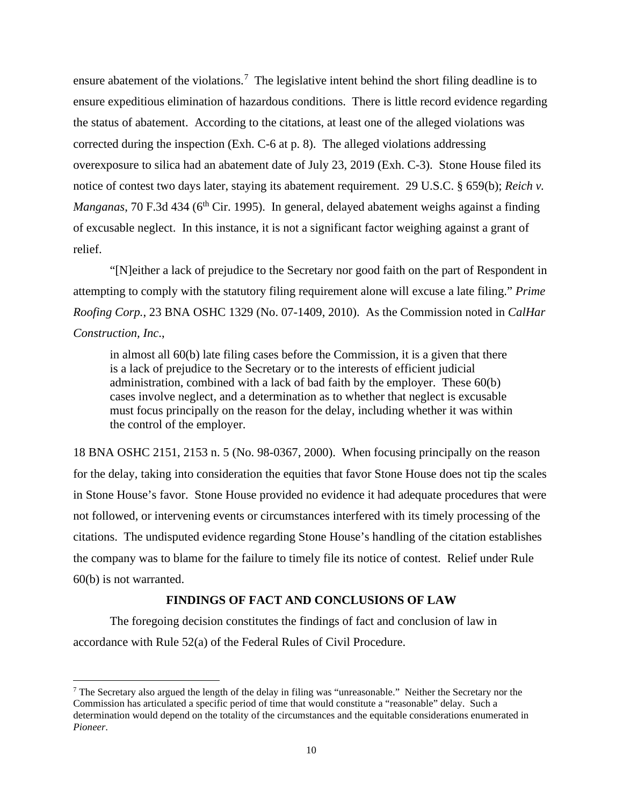ensure abatement of the violations.<sup>[7](#page-9-0)</sup> The legislative intent behind the short filing deadline is to ensure expeditious elimination of hazardous conditions. There is little record evidence regarding the status of abatement. According to the citations, at least one of the alleged violations was corrected during the inspection (Exh. C-6 at p. 8). The alleged violations addressing overexposure to silica had an abatement date of July 23, 2019 (Exh. C-3). Stone House filed its notice of contest two days later, staying its abatement requirement. 29 U.S.C. § 659(b); *Reich v. Manganas*, 70 F.3d 434 (6<sup>th</sup> Cir. 1995). In general, delayed abatement weighs against a finding of excusable neglect. In this instance, it is not a significant factor weighing against a grant of relief.

"[N]either a lack of prejudice to the Secretary nor good faith on the part of Respondent in attempting to comply with the statutory filing requirement alone will excuse a late filing." *[Prime](http://www.westlaw.com/Find/Default.wl?rs=dfa1.0&vr=2.0&DB=0003227&FindType=Y&SerialNum=2024060162)  [Roofing Corp.](http://www.westlaw.com/Find/Default.wl?rs=dfa1.0&vr=2.0&DB=0003227&FindType=Y&SerialNum=2024060162)*[, 23 BNA OSHC 1329 \(No. 07-1409, 2010\).](http://www.westlaw.com/Find/Default.wl?rs=dfa1.0&vr=2.0&DB=0003227&FindType=Y&SerialNum=2024060162) As the Commission noted in *CalHar Construction, Inc*.,

in almost all 60(b) late filing cases before the Commission, it is a given that there is a lack of prejudice to the Secretary or to the interests of efficient judicial administration, combined with a lack of bad faith by the employer. These 60(b) cases involve neglect, and a determination as to whether that neglect is excusable must focus principally on the reason for the delay, including whether it was within the control of the employer.

18 BNA OSHC 2151, 2153 n. 5 (No. 98-0367, 2000). When focusing principally on the reason for the delay, taking into consideration the equities that favor Stone House does not tip the scales in Stone House's favor. Stone House provided no evidence it had adequate procedures that were not followed, or intervening events or circumstances interfered with its timely processing of the citations. The undisputed evidence regarding Stone House's handling of the citation establishes the company was to blame for the failure to timely file its notice of contest. Relief under Rule 60(b) is not warranted.

## **FINDINGS OF FACT AND CONCLUSIONS OF LAW**

The foregoing decision constitutes the findings of fact and conclusion of law in accordance with Rule 52(a) of the Federal Rules of Civil Procedure.

<span id="page-9-0"></span><sup>7</sup> The Secretary also argued the length of the delay in filing was "unreasonable." Neither the Secretary nor the Commission has articulated a specific period of time that would constitute a "reasonable" delay. Such a determination would depend on the totality of the circumstances and the equitable considerations enumerated in *Pioneer*.